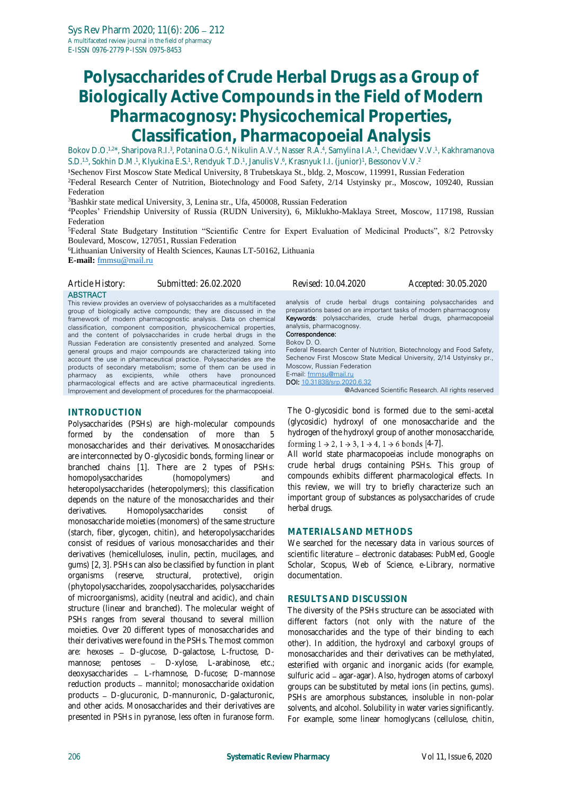# **Polysaccharides of Crude Herbal Drugs as a Group of Biologically Active Compounds in the Field of Modern Pharmacognosy: Physicochemical Properties, Classification, Pharmacopoeial Analysis**

Bokov D.O.<sup>1,2\*</sup>, Sharipova R.I.<sup>3</sup>, Potanina O.G.<sup>4</sup>, Nikulin A.V.<sup>4</sup>, Nasser R.A.<sup>4</sup>, Samylina I.A.<sup>1</sup>, Chevidaev V.V.<sup>1</sup>, Kakhramanova S.D.1.5, Sokhin D.M.1, Klyukina E.S.1, Rendyuk T.D.1, Janulis V.6, Krasnyuk I.I. (junior)1, Bessonov V.V.2

<sup>1</sup>Sechenov First Moscow State Medical University, 8 Trubetskaya St., bldg. 2, Moscow, 119991, Russian Federation <sup>2</sup>Federal Research Center of Nutrition, Biotechnology and Food Safety, 2/14 Ustyinsky pr., Moscow, 109240, Russian Federation

<sup>3</sup>Bashkir state medical University, 3, Lenina str., Ufa, 450008, Russian Federation

<sup>4</sup>Рeoples' Friendship University of Russia (RUDN University), 6, Miklukho-Maklaya Street, Moscow, 117198, Russian Federation

<sup>5</sup>Federal State Budgetary Institution "Scientific Centre for Expert Evaluation of Medicinal Products", 8/2 Petrovsky Boulevard, Moscow, 127051, Russian Federation

<sup>6</sup>Lithuanian University of Health Sciences, Kaunas LT-50162, Lithuania **E-mail:** [fmmsu@mail.ru](mailto:fmmsu@mail.ru)

*Article History: Submitted: 26.02.2020 Revised: 10.04.2020 Accepted: 30.05.2020*

**ABSTRACT** 

This review provides an overview of polysaccharides as a multifaceted group of biologically active compounds; they are discussed in the framework of modern pharmacognostic analysis. Data on chemical classification, component composition, physicochemical properties, and the content of polysaccharides in crude herbal drugs in the Russian Federation are consistently presented and analyzed. Some general groups and major compounds are characterized taking into account the use in pharmaceutical practice. Polysaccharides are the products of secondary metabolism; some of them can be used in pharmacy as excipients, while others have pronounced pharmacological effects and are active pharmaceutical ingredients. Improvement and development of procedures for the pharmacopoeial.

#### **INTRODUCTION**

Polysaccharides (PSHs) are high-molecular compounds formed by the condensation of more than 5 monosaccharides and their derivatives. Monosaccharides are interconnected by O-glycosidic bonds, forming linear or branched chains [\[1\]](#page-5-0). There are 2 types of PSHs: homopolysaccharides (homopolymers) and heteropolysaccharides (heteropolymers); this classification depends on the nature of the monosaccharides and their derivatives. Homopolysaccharides consist of monosaccharide moieties (monomers) of the same structure (starch, fiber, glycogen, chitin), and heteropolysaccharides consist of residues of various monosaccharides and their derivatives (hemicelluloses, inulin, pectin, mucilages, and gums) [\[2,](#page-5-1) [3\]](#page-5-2). PSHs can also be classified by function in plant organisms (reserve, structural, protective), origin (phytopolysaccharides, zoopolysaccharides, polysaccharides of microorganisms), acidity (neutral and acidic), and chain structure (linear and branched). The molecular weight of PSHs ranges from several thousand to several million moieties. Over 20 different types of monosaccharides and their derivatives were found in the PSHs. The most common are: hexoses - D-glucose, D-galactose, L-fructose, Dmannose; pentoses - D-xylose, L-arabinose, etc.; deoxysaccharides - L-rhamnose, D-fucose; D-mannose reduction products - mannitol; monosaccharide oxidation products - D-glucuronic, D-mannuronic, D-galacturonic, and other acids. Monosaccharides and their derivatives are presented in PSHs in pyranose, less often in furanose form.

analysis of crude herbal drugs containing polysaccharides and preparations based on are important tasks of modern pharmacognosy Keywords: polysaccharides, crude herbal drugs, pharmacopoeial analysis, pharmacognosy.

#### Correspondence: Bokov D. O.

Federal Research Center of Nutrition, Biotechnology and Food Safety, Sechenov First Moscow State Medical University, 2/14 Ustyinsky pr., Moscow, Russian Federation E-mail: [fmmsu@mail.ru](mailto:fmmsu@mail.ru) DOI: [10.31838/srp.2020.6.32](http://dx.doi.org/10.5530/srp.2019.2.04)

@Advanced Scientific Research. All rights reserved

The O-glycosidic bond is formed due to the semi-acetal (glycosidic) hydroxyl of one monosaccharide and the hydrogen of the hydroxyl group of another monosaccharide, forming  $1 \rightarrow 2$ ,  $1 \rightarrow 3$ ,  $1 \rightarrow 4$ ,  $1 \rightarrow 6$  bonds [[4-](#page-5-3)[7\]](#page-5-4).

All world state pharmacopoeias include monographs on crude herbal drugs containing PSHs. This group of compounds exhibits different pharmacological effects. In this review, we will try to briefly characterize such an important group of substances as polysaccharides of crude herbal drugs.

#### **MATERIALS AND METHODS**

We searched for the necessary data in various sources of scientific literature - electronic databases: PubMed, Google Scholar, Scopus, Web of Science, e-Library, normative documentation.

#### **RESULTS AND DISCUSSION**

The diversity of the PSHs structure can be associated with different factors (not only with the nature of the monosaccharides and the type of their binding to each other). In addition, the hydroxyl and carboxyl groups of monosaccharides and their derivatives can be methylated, esterified with organic and inorganic acids (for example, sulfuric acid - agar-agar). Also, hydrogen atoms of carboxyl groups can be substituted by metal ions (in pectins, gums). PSHs are amorphous substances, insoluble in non-polar solvents, and alcohol. Solubility in water varies significantly. For example, some linear homoglycans (cellulose, chitin,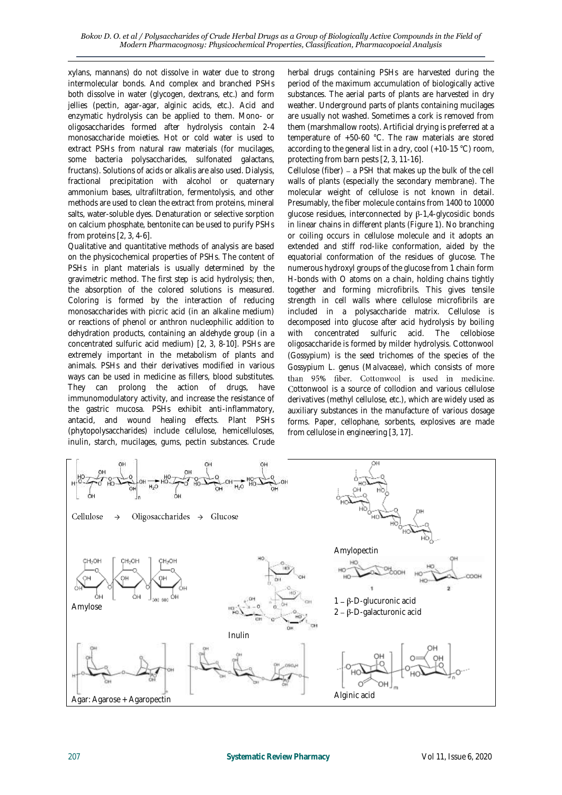xylans, mannans) do not dissolve in water due to strong intermolecular bonds. And complex and branched PSHs both dissolve in water (glycogen, dextrans, etc.) and form jellies (pectin, agar-agar, alginic acids, etc.). Acid and enzymatic hydrolysis can be applied to them. Mono- or oligosaccharides formed after hydrolysis contain 2-4 monosaccharide moieties. Hot or cold water is used to extract PSHs from natural raw materials (for mucilages, some bacteria polysaccharides, sulfonated galactans, fructans). Solutions of acids or alkalis are also used. Dialysis, fractional precipitation with alcohol or quaternary ammonium bases, ultrafiltration, fermentolysis, and other methods are used to clean the extract from proteins, mineral salts, water-soluble dyes. Denaturation or selective sorption on calcium phosphate, bentonite can be used to purify PSHs from proteins [\[2,](#page-5-1) [3,](#page-5-2) [4](#page-5-3)[-6\]](#page-5-5).

Qualitative and quantitative methods of analysis are based on the physicochemical properties of PSHs. The content of PSHs in plant materials is usually determined by the gravimetric method. The first step is acid hydrolysis; then, the absorption of the colored solutions is measured. Coloring is formed by the interaction of reducing monosaccharides with picric acid (in an alkaline medium) or reactions of phenol or anthron nucleophilic addition to dehydration products, containing an aldehyde group (in a concentrated sulfuric acid medium) [\[2,](#page-5-1) [3,](#page-5-2) [8](#page-5-6)[-10\]](#page-6-0). PSHs are extremely important in the metabolism of plants and animals. PSHs and their derivatives modified in various ways can be used in medicine as fillers, blood substitutes. They can prolong the action of drugs, have immunomodulatory activity, and increase the resistance of the gastric mucosa. PSHs exhibit anti-inflammatory, antacid, and wound healing effects. Plant PSHs (phytopolysaccharides) include cellulose, hemicelluloses, inulin, starch, mucilages, gums, pectin substances. Crude

herbal drugs containing PSHs are harvested during the period of the maximum accumulation of biologically active substances. The aerial parts of plants are harvested in dry weather. Underground parts of plants containing mucilages are usually not washed. Sometimes a cork is removed from them (marshmallow roots). Artificial drying is preferred at a temperature of +50-60 °C. The raw materials are stored according to the general list in a dry, cool (+10-15 °C) room, protecting from barn pests [\[2,](#page-5-1) [3,](#page-5-2) [11](#page-6-1)[-16\]](#page-6-2).

Cellulose (fiber) - a PSH that makes up the bulk of the cell walls of plants (especially the secondary membrane). The molecular weight of cellulose is not known in detail. Presumably, the fiber molecule contains from 1400 to 10000 glucose residues, interconnected by  $\beta$ -1,4-glycosidic bonds in linear chains in different plants (Figure 1). No branching or coiling occurs in cellulose molecule and it adopts an extended and stiff rod-like conformation, aided by the equatorial conformation of the residues of glucose. The numerous hydroxyl groups of the glucose from 1 chain form H-bonds with O atoms on a chain, holding chains tightly together and forming microfibrils. This gives tensile strength in cell walls where cellulose microfibrils are included in a polysaccharide matrix. Cellulose is decomposed into glucose after acid hydrolysis by boiling with concentrated sulfuric acid. The cellobiose oligosaccharide is formed by milder hydrolysis. Cottonwool (*Gossypium*) is the seed trichomes of the species of the *Gossypium* L. genus (*Malvaceae*), which consists of more than 95% fiber. Cottonwool is used in medicine. Cottonwool is a source of collodion and various cellulose derivatives (methyl cellulose, etc.), which are widely used as auxiliary substances in the manufacture of various dosage forms. Paper, cellophane, sorbents, explosives are made from cellulose in engineering [\[3,](#page-5-2) [17\]](#page-6-3).

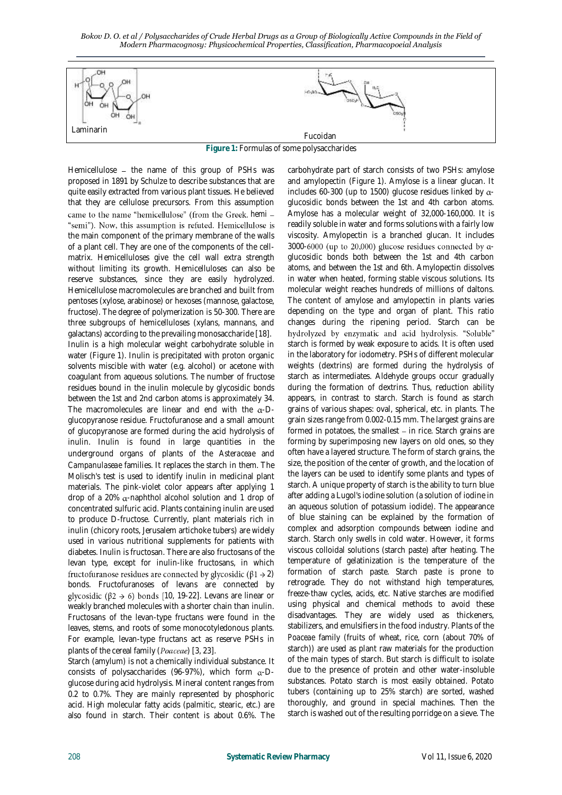*Bokov D. O. et al / Polysaccharides of Crude Herbal Drugs as a Group of Biologically Active Compounds in the Field of Modern Pharmacognosy: Physicochemical Properties, Classification, Pharmacopoeial Analysis*



**Figure 1:** Formulas of some polysaccharides

Hemicellulose  $-$  the name of this group of PSHs was proposed in 1891 by Schulze to describe substances that are quite easily extracted from various plant tissues. He believed that they are cellulose precursors. From this assumption came to the name "hemicellulose" (from the Greek. hemi -"semi"). Now, this assumption is refuted. Hemicellulose is the main component of the primary membrane of the walls of a plant cell. They are one of the components of the cellmatrix. Hemicelluloses give the cell wall extra strength without limiting its growth. Hemicelluloses can also be reserve substances, since they are easily hydrolyzed. Hemicellulose macromolecules are branched and built from pentoses (xylose, arabinose) or hexoses (mannose, galactose, fructose). The degree of polymerization is 50-300. There are three subgroups of hemicelluloses (xylans, mannans, and galactans) according to the prevailing monosaccharide [\[18\]](#page-6-4). Inulin is a high molecular weight carbohydrate soluble in water (Figure 1). Inulin is precipitated with proton organic solvents miscible with water (e.g. alcohol) or acetone with coagulant from aqueous solutions. The number of fructose residues bound in the inulin molecule by glycosidic bonds between the 1st and 2nd carbon atoms is approximately 34. The macromolecules are linear and end with the  $\alpha$ -Dglucopyranose residue. Fructofuranose and a small amount of glucopyranose are formed during the acid hydrolysis of inulin. Inulin is found in large quantities in the underground organs of plants of the *Asteraceae* and *Campanulaseae* families. It replaces the starch in them. The Molisch's test is used to identify inulin in medicinal plant materials. The pink-violet color appears after applying 1 drop of a 20%  $\alpha$ -naphthol alcohol solution and 1 drop of concentrated sulfuric acid. Plants containing inulin are used to produce D-fructose. Currently, plant materials rich in inulin (chicory roots, Jerusalem artichoke tubers) are widely used in various nutritional supplements for patients with diabetes. Inulin is fructosan. There are also fructosans of the levan type, except for inulin-like fructosans, in which fructofuranose residues are connected by glycosidic  $(\beta 1 \rightarrow 2)$ bonds. Fructofuranoses of levans are connected by glycosidic ( $\beta$ 2  $\rightarrow$  6) bonds [[10,](#page-6-0) [19-](#page-6-5)[22\]](#page-6-6). Levans are linear or weakly branched molecules with a shorter chain than inulin. Fructosans of the levan-type fructans were found in the leaves, stems, and roots of some monocotyledonous plants. For example, levan-type fructans act as reserve PSHs in plants of the cereal family  $(Poaceae)$  [\[3,](#page-5-2) [23\]](#page-6-7).

Starch (amylum) is not a chemically individual substance. It consists of polysaccharides (96-97%), which form  $\alpha$ -Dglucose during acid hydrolysis. Mineral content ranges from 0.2 to 0.7%. They are mainly represented by phosphoric acid. High molecular fatty acids (palmitic, stearic, etc.) are also found in starch. Their content is about 0.6%. The carbohydrate part of starch consists of two PSHs: amylose and amylopectin (Figure 1). Amylose is a linear glucan. It includes 60-300 (up to 1500) glucose residues linked by  $\alpha$ glucosidic bonds between the 1st and 4th carbon atoms. Amylose has a molecular weight of 32,000-160,000. It is readily soluble in water and forms solutions with a fairly low viscosity. Amylopectin is a branched glucan. It includes 3000-6000 (up to 20,000) glucose residues connected by  $\alpha$ glucosidic bonds both between the 1st and 4th carbon atoms, and between the 1st and 6th. Amylopectin dissolves in water when heated, forming stable viscous solutions. Its molecular weight reaches hundreds of millions of daltons. The content of amylose and amylopectin in plants varies depending on the type and organ of plant. This ratio changes during the ripening period. Starch can be hydrolyzed by enzymatic and acid hydrolysis. "Soluble" starch is formed by weak exposure to acids. It is often used in the laboratory for iodometry. PSHs of different molecular weights (dextrins) are formed during the hydrolysis of starch as intermediates. Aldehyde groups occur gradually during the formation of dextrins. Thus, reduction ability appears, in contrast to starch. Starch is found as starch grains of various shapes: oval, spherical, etc. in plants. The grain sizes range from 0.002-0.15 mm. The largest grains are formed in potatoes, the smallest  $-$  in rice. Starch grains are forming by superimposing new layers on old ones, so they often have a layered structure. The form of starch grains, the size, the position of the center of growth, and the location of the layers can be used to identify some plants and types of starch. A unique property of starch is the ability to turn blue after adding a Lugol's iodine solution (a solution of iodine in an aqueous solution of potassium iodide). The appearance of blue staining can be explained by the formation of complex and adsorption compounds between iodine and starch. Starch only swells in cold water. However, it forms viscous colloidal solutions (starch paste) after heating. The temperature of gelatinization is the temperature of the formation of starch paste. Starch paste is prone to retrograde. They do not withstand high temperatures, freeze-thaw cycles, acids, etc. Native starches are modified using physical and chemical methods to avoid these disadvantages. They are widely used as thickeners, stabilizers, and emulsifiers in the food industry. Plants of the *Poaceae* family (fruits of wheat, rice, corn (about 70% of starch)) are used as plant raw materials for the production of the main types of starch. But starch is difficult to isolate due to the presence of protein and other water-insoluble substances. Potato starch is most easily obtained. Potato tubers (containing up to 25% starch) are sorted, washed thoroughly, and ground in special machines. Then the starch is washed out of the resulting porridge on a sieve. The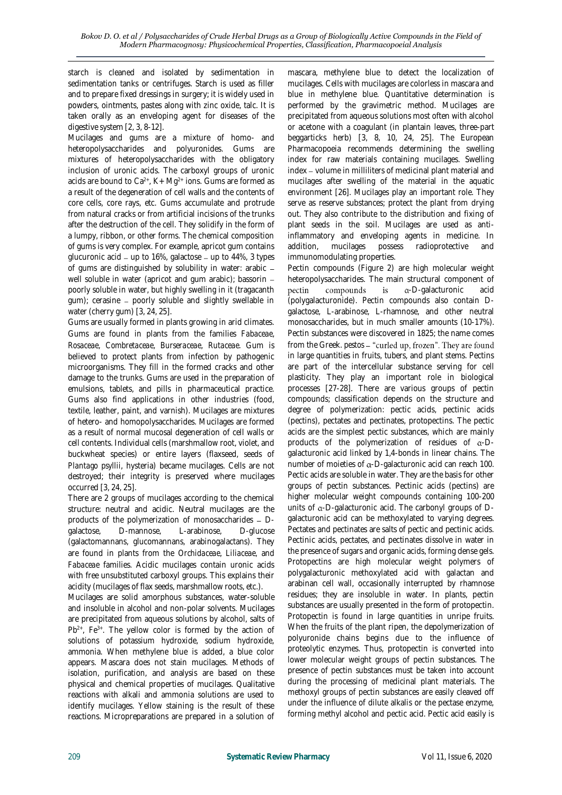starch is cleaned and isolated by sedimentation in sedimentation tanks or centrifuges. Starch is used as filler and to prepare fixed dressings in surgery; it is widely used in powders, ointments, pastes along with zinc oxide, talc. It is taken orally as an enveloping agent for diseases of the digestive system [\[2,](#page-5-1) [3,](#page-5-2) [8-](#page-5-6)[12\]](#page-6-8).

Mucilages and gums are a mixture of homo- and heteropolysaccharides and polyuronides. Gums are mixtures of heteropolysaccharides with the obligatory inclusion of uronic acids. The carboxyl groups of uronic acids are bound to  $Ca^{2+}$ , K + Mg<sup>2+</sup> ions. Gums are formed as a result of the degeneration of cell walls and the contents of core cells, core rays, etc. Gums accumulate and protrude from natural cracks or from artificial incisions of the trunks after the destruction of the cell. They solidify in the form of a lumpy, ribbon, or other forms. The chemical composition of gums is very complex. For example, apricot gum contains glucuronic acid  $-$  up to 16%, galactose  $-$  up to 44%, 3 types of gums are distinguished by solubility in water: arabic well soluble in water (apricot and gum arabic); bassorin poorly soluble in water, but highly swelling in it (tragacanth  $gum$ ); cerasine  $-$  poorly soluble and slightly swellable in water (cherry gum) [\[3,](#page-5-2) [24,](#page-6-9) [25\]](#page-6-10).

Gums are usually formed in plants growing in arid climates. Gums are found in plants from the families *Fabaceae*, *Rosaceae*, *Combretaceae*, *Burseraceae*, *Rutaceae*. Gum is believed to protect plants from infection by pathogenic microorganisms. They fill in the formed cracks and other damage to the trunks. Gums are used in the preparation of emulsions, tablets, and pills in pharmaceutical practice. Gums also find applications in other industries (food, textile, leather, paint, and varnish). Mucilages are mixtures of hetero- and homopolysaccharides. Mucilages are formed as a result of normal mucosal degeneration of cell walls or cell contents. Individual cells (marshmallow root, violet, and buckwheat species) or entire layers (flaxseed, seeds of *Plantago psyllii*, hysteria) became mucilages. Cells are not destroyed; their integrity is preserved where mucilages occurred [\[3,](#page-5-2) [24,](#page-6-9) [25\]](#page-6-10).

There are 2 groups of mucilages according to the chemical structure: neutral and acidic. Neutral mucilages are the products of the polymerization of monosaccharides - Dgalactose, D-mannose, L-arabinose, D-glucose (galactomannans, glucomannans, arabinogalactans). They are found in plants from the *Orchidaceae*, *Liliaceae,* and *Fabaceae* families. Acidic mucilages contain uronic acids with free unsubstituted carboxyl groups. This explains their acidity (mucilages of flax seeds, marshmallow roots, etc.).

Mucilages are solid amorphous substances, water-soluble and insoluble in alcohol and non-polar solvents. Mucilages are precipitated from aqueous solutions by alcohol, salts of  $Pb^{2+}$ , Fe<sup>3+</sup>. The yellow color is formed by the action of solutions of potassium hydroxide, sodium hydroxide, ammonia. When methylene blue is added, a blue color appears. Mascara does not stain mucilages. Methods of isolation, purification, and analysis are based on these physical and chemical properties of mucilages. Qualitative reactions with alkali and ammonia solutions are used to identify mucilages. Yellow staining is the result of these reactions. Micropreparations are prepared in a solution of

mascara, methylene blue to detect the localization of mucilages. Cells with mucilages are colorless in mascara and blue in methylene blue. Quantitative determination is performed by the gravimetric method. Mucilages are precipitated from aqueous solutions most often with alcohol or acetone with a coagulant (in plantain leaves, three-part beggarticks herb) [\[3,](#page-5-2) [8,](#page-5-6) [10,](#page-6-0) [24,](#page-6-9) [25\]](#page-6-10). The European Pharmacopoeia recommends determining the swelling index for raw materials containing mucilages. Swelling index - volume in milliliters of medicinal plant material and mucilages after swelling of the material in the aquatic environment [\[26\]](#page-6-11). Mucilages play an important role. They serve as reserve substances; protect the plant from drying out. They also contribute to the distribution and fixing of plant seeds in the soil. Mucilages are used as antiinflammatory and enveloping agents in medicine. In addition, mucilages possess radioprotective and immunomodulating properties.

Pectin compounds (Figure 2) are high molecular weight heteropolysaccharides. The main structural component of compounds  $is$ -D-galacturonic acid pectin (polygalacturonide). Pectin compounds also contain Dgalactose, L-arabinose, L-rhamnose, and other neutral monosaccharides, but in much smaller amounts (10-17%). Pectin substances were discovered in 1825; the name comes from the Greek. *pestos* in large quantities in fruits, tubers, and plant stems. Pectins are part of the intercellular substance serving for cell plasticity. They play an important role in biological processes [\[27](#page-6-12)[-28\]](#page-6-13). There are various groups of pectin compounds; classification depends on the structure and degree of polymerization: pectic acids, pectinic acids (pectins), pectates and pectinates, protopectins. The pectic acids are the simplest pectic substances, which are mainly products of the polymerization of residues of  $\alpha$ -Dgalacturonic acid linked by 1,4-bonds in linear chains. The number of moieties of  $\alpha$ -D-galacturonic acid can reach 100. Pectic acids are soluble in water. They are the basis for other groups of pectin substances. Pectinic acids (pectins) are higher molecular weight compounds containing 100-200 units of  $\alpha$ -D-galacturonic acid. The carbonyl groups of Dgalacturonic acid can be methoxylated to varying degrees. Pectates and pectinates are salts of pectic and pectinic acids. Pectinic acids, pectates, and pectinates dissolve in water in the presence of sugars and organic acids, forming dense gels. Protopectins are high molecular weight polymers of polygalacturonic methoxylated acid with galactan and arabinan cell wall, occasionally interrupted by rhamnose residues; they are insoluble in water. In plants, pectin substances are usually presented in the form of protopectin. Protopectin is found in large quantities in unripe fruits. When the fruits of the plant ripen, the depolymerization of polyuronide chains begins due to the influence of proteolytic enzymes. Thus, protopectin is converted into lower molecular weight groups of pectin substances. The presence of pectin substances must be taken into account during the processing of medicinal plant materials. The methoxyl groups of pectin substances are easily cleaved off under the influence of dilute alkalis or the pectase enzyme, forming methyl alcohol and pectic acid. Pectic acid easily is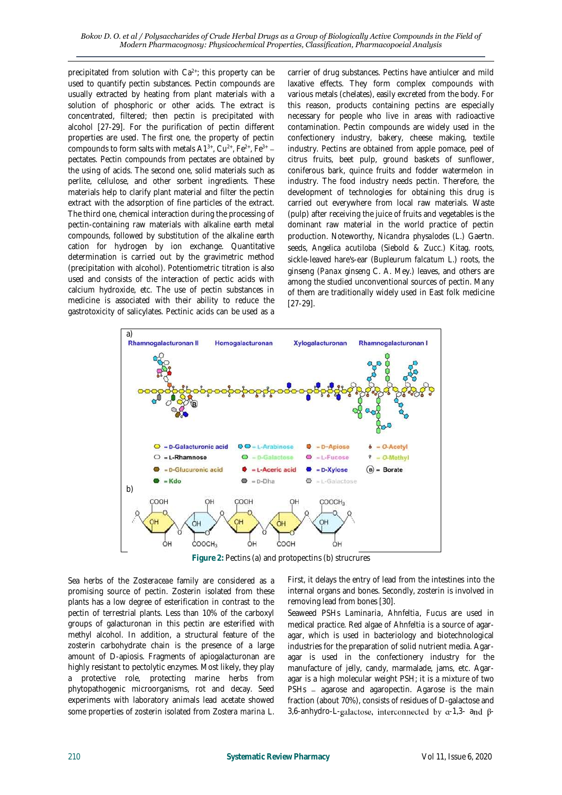precipitated from solution with Ca<sup>2+</sup>; this property can be used to quantify pectin substances. Pectin compounds are usually extracted by heating from plant materials with a solution of phosphoric or other acids. The extract is concentrated, filtered; then pectin is precipitated with alcohol [\[27](#page-6-12)[-29\]](#page-6-14). For the purification of pectin different properties are used. The first one, the property of pectin compounds to form salts with metals  $A1^{3+}$ ,  $Cu^{2+}$ ,  $Fe^{2+}$ ,  $Fe^{3+}$  pectates. Pectin compounds from pectates are obtained by the using of acids. The second one, solid materials such as perlite, cellulose, and other sorbent ingredients. These materials help to clarify plant material and filter the pectin extract with the adsorption of fine particles of the extract. The third one, chemical interaction during the processing of pectin-containing raw materials with alkaline earth metal compounds, followed by substitution of the alkaline earth cation for hydrogen by ion exchange. Quantitative determination is carried out by the gravimetric method (precipitation with alcohol). Potentiometric titration is also used and consists of the interaction of pectic acids with calcium hydroxide, etc. The use of pectin substances in medicine is associated with their ability to reduce the gastrotoxicity of salicylates. Pectinic acids can be used as a carrier of drug substances. Pectins have antiulcer and mild laxative effects. They form complex compounds with various metals (chelates), easily excreted from the body. For this reason, products containing pectins are especially necessary for people who live in areas with radioactive contamination. Pectin compounds are widely used in the confectionery industry, bakery, cheese making, textile industry. Pectins are obtained from apple pomace, peel of citrus fruits, beet pulp, ground baskets of sunflower, coniferous bark, quince fruits and fodder watermelon in industry. The food industry needs pectin. Therefore, the development of technologies for obtaining this drug is carried out everywhere from local raw materials. Waste (pulp) after receiving the juice of fruits and vegetables is the dominant raw material in the world practice of pectin production. Noteworthy, *Nicandra physalodes* (L.) Gaertn. seeds, *Angelica acutiloba* (Siebold & Zucc.) Kitag. roots, sickle-leaved hare's-ear (*Bupleurum falcatum* L.) roots, the ginseng (*Panax ginseng* C. A. Mey.) leaves, and others are among the studied unconventional sources of pectin. Many of them are traditionally widely used in East folk medicine [\[27](#page-6-12)[-29\]](#page-6-14).



**Figure 2:** Pectins (a) and protopectins (b) strucrures

Sea herbs of the *Zosteraceae* family are considered as a promising source of pectin. Zosterin isolated from these plants has a low degree of esterification in contrast to the pectin of terrestrial plants. Less than 10% of the carboxyl groups of galacturonan in this pectin are esterified with methyl alcohol. In addition, a structural feature of the zosterin carbohydrate chain is the presence of a large amount of D-apiosis. Fragments of apiogalacturonan are highly resistant to pectolytic enzymes. Most likely, they play a protective role, protecting marine herbs from phytopathogenic microorganisms, rot and decay. Seed experiments with laboratory animals lead acetate showed some properties of zosterin isolated from *Zostera marina* L.

First, it delays the entry of lead from the intestines into the internal organs and bones. Secondly, zosterin is involved in removing lead from bones [\[30\]](#page-6-15).

Seaweed PSHs *Laminaria*, *Ahnfeltia*, *Fucus* are used in medical practice. Red algae of *Ahnfeltia* is a source of agaragar, which is used in bacteriology and biotechnological industries for the preparation of solid nutrient media. Agaragar is used in the confectionery industry for the manufacture of jelly, candy, marmalade, jams, etc. Agaragar is a high molecular weight PSH; it is a mixture of two PSHs - agarose and agaropectin. Agarose is the main fraction (about 70%), consists of residues of D-galactose and 3,6-anhydro-L-galactose, interconnected by  $\alpha$ -1,3- and  $\beta$ -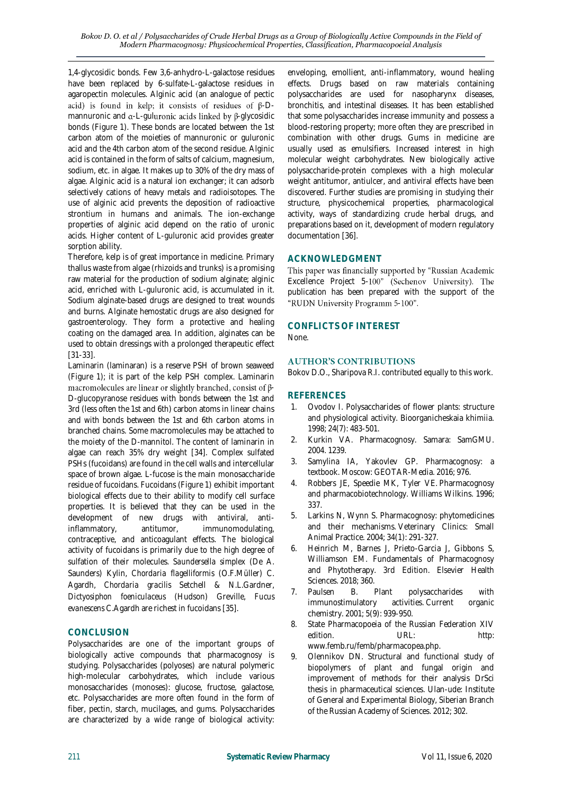1,4-glycosidic bonds. Few 3,6-anhydro-L-galactose residues have been replaced by 6-sulfate-L-galactose residues in agaropectin molecules. Alginic acid (an analogue of pectic acid) is found in kelp; it consists of residues of  $\beta$ -Dmannuronic and  $\alpha$ -L-guluronic acids linked by  $\beta$ -glycosidic bonds (Figure 1). These bonds are located between the 1st carbon atom of the moieties of mannuronic or guluronic acid and the 4th carbon atom of the second residue. Alginic acid is contained in the form of salts of calcium, magnesium, sodium, etc. in algae. It makes up to 30% of the dry mass of algae. Alginic acid is a natural ion exchanger; it can adsorb selectively cations of heavy metals and radioisotopes. The use of alginic acid prevents the deposition of radioactive strontium in humans and animals. The ion-exchange properties of alginic acid depend on the ratio of uronic acids. Higher content of L-guluronic acid provides greater sorption ability.

Therefore, kelp is of great importance in medicine. Primary thallus waste from algae (rhizoids and trunks) is a promising raw material for the production of sodium alginate; alginic acid, enriched with L-guluronic acid, is accumulated in it. Sodium alginate-based drugs are designed to treat wounds and burns. Alginate hemostatic drugs are also designed for gastroenterology. They form a protective and healing coating on the damaged area. In addition, alginates can be used to obtain dressings with a prolonged therapeutic effect [\[31-](#page-6-16)[33\]](#page-6-17).

Laminarin (laminaran) is a reserve PSH of brown seaweed (Figure 1); it is part of the kelp PSH complex. Laminarin macromolecules are linear or slightly branched, consist of  $\beta$ -D-glucopyranose residues with bonds between the 1st and 3rd (less often the 1st and 6th) carbon atoms in linear chains and with bonds between the 1st and 6th carbon atoms in branched chains. Some macromolecules may be attached to the moiety of the D-mannitol. The content of laminarin in algae can reach 35% dry weight [\[34\]](#page-6-18). Complex sulfated PSHs (fucoidans) are found in the cell walls and intercellular space of brown algae. L-fucose is the main monosaccharide residue of fucoidans. Fucoidans (Figure 1) exhibit important biological effects due to their ability to modify cell surface properties. It is believed that they can be used in the development of new drugs with antiviral, antiinflammatory, antitumor, immunomodulating, contraceptive, and anticoagulant effects. The biological activity of fucoidans is primarily due to the high degree of sulfation of their molecules. *Saundersella simplex* (De A. Saunders) Kylin, *Chordaria flagelliformis* (O.F.Müller) C. Agardh, *Chordaria gracilis* Setchell & N.L.Gardner, *Dictyosiphon foeniculaceus* (Hudson) Greville, *Fucus evanescens* C.Agardh are richest in fucoidans [\[35\]](#page-6-19).

## **CONCLUSION**

Polysaccharides are one of the important groups of biologically active compounds that pharmacognosy is studying. Polysaccharides (polyoses) are natural polymeric high-molecular carbohydrates, which include various monosaccharides (monoses): glucose, fructose, galactose, etc. Polysaccharides are more often found in the form of fiber, pectin, starch, mucilages, and gums. Polysaccharides are characterized by a wide range of biological activity:

enveloping, emollient, anti-inflammatory, wound healing effects. Drugs based on raw materials containing polysaccharides are used for nasopharynx diseases, bronchitis, and intestinal diseases. It has been established that some polysaccharides increase immunity and possess a blood-restoring property; more often they are prescribed in combination with other drugs. Gums in medicine are usually used as emulsifiers. Increased interest in high molecular weight carbohydrates. New biologically active polysaccharide-protein complexes with a high molecular weight antitumor, antiulcer, and antiviral effects have been discovered. Further studies are promising in studying their structure, physicochemical properties, pharmacological activity, ways of standardizing crude herbal drugs, and preparations based on it, development of modern regulatory documentation [\[36\]](#page-6-20).

## **ACKNOWLEDGMENT**

This paper was financially supported by "Russian Academic Excellence Project 5-100" (Sechenov University). The publication has been prepared with the support of the "RUDN University Programm 5-100".

## **CONFLICTS OF INTEREST**

None.

## **AUTHOR'S CONTRIBUTIONS**

Bokov D.O., Sharipova R.I. contributed equally to this work.

### **REFERENCES**

- <span id="page-5-0"></span>1. Ovodov I. Polysaccharides of flower plants: structure and physiological activity. Bioorganicheskaia khimiia. 1998; 24(7): 483-501.
- <span id="page-5-1"></span>2. Kurkin VA. Pharmacognosy. Samara: SamGMU. 2004. 1239.
- <span id="page-5-2"></span>3. Samylina IA, Yakovlev GP. Pharmacognosy: a textbook. Moscow: GEOTAR-Media. 2016; 976.
- <span id="page-5-3"></span>4. Robbers JE, Speedie MK, Tyler VE. Pharmacognosy and pharmacobiotechnology. Williams Wilkins. 1996; 337.
- 5. Larkins N, Wynn S. Pharmacognosy: phytomedicines and their mechanisms. Veterinary Clinics: Small Animal Practice. 2004; 34(1): 291-327.
- <span id="page-5-5"></span>6. Heinrich M, Barnes J, Prieto-Garcia J, Gibbons S, Williamson EM. Fundamentals of Pharmacognosy and Phytotherapy. 3rd Edition. Elsevier Health Sciences. 2018; 360.
- <span id="page-5-4"></span>7. Paulsen B. Plant polysaccharides with immunostimulatory activities. Current organic chemistry. 2001; 5(9): 939-950.
- <span id="page-5-6"></span>8. State Pharmacopoeia of the Russian Federation XIV edition. URL: http: www.femb.ru/femb/pharmacopea.php.
- 9. Olennikov DN. Structural and functional study of biopolymers of plant and fungal origin and improvement of methods for their analysis DrSci thesis in pharmaceutical sciences. Ulan-ude: Institute of General and Experimental Biology, Siberian Branch of the Russian Academy of Sciences. 2012; 302.